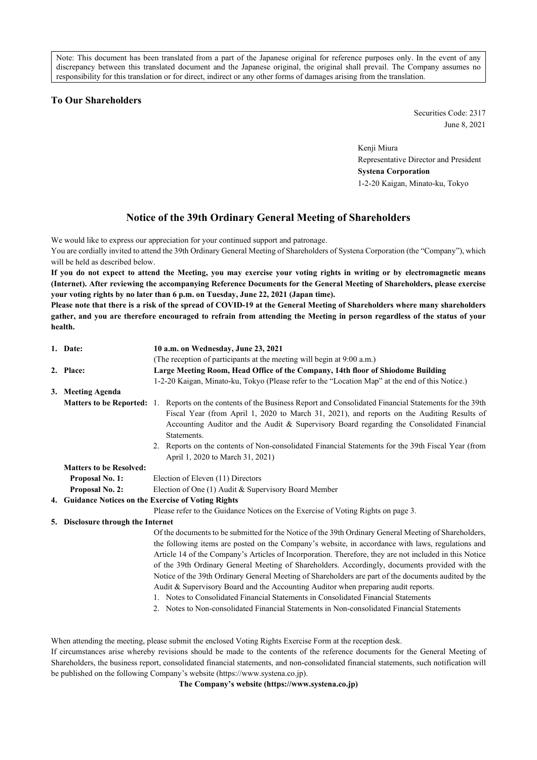Note: This document has been translated from a part of the Japanese original for reference purposes only. In the event of any discrepancy between this translated document and the Japanese original, the original shall prevail. The Company assumes no responsibility for this translation or for direct, indirect or any other forms of damages arising from the translation.

## **To Our Shareholders**

Securities Code: 2317 June 8, 2021

Kenji Miura Representative Director and President **Systena Corporation** 1-2-20 Kaigan, Minato-ku, Tokyo

# **Notice of the 39th Ordinary General Meeting of Shareholders**

We would like to express our appreciation for your continued support and patronage.

You are cordially invited to attend the 39th Ordinary General Meeting of Shareholders of Systena Corporation (the "Company"), which will be held as described below.

**If you do not expect to attend the Meeting, you may exercise your voting rights in writing or by electromagnetic means (Internet). After reviewing the accompanying Reference Documents for the General Meeting of Shareholders, please exercise your voting rights by no later than 6 p.m. on Tuesday, June 22, 2021 (Japan time).**

**Please note that there is a risk of the spread of COVID-19 at the General Meeting of Shareholders where many shareholders gather, and you are therefore encouraged to refrain from attending the Meeting in person regardless of the status of your health.**

|    | 1. Date:                          | 10 a.m. on Wednesday, June 23, 2021                                                                                                                                                                                                                                                                                                                                                                                                                                                                                                                                                                                                                                                                                                                                                                      |  |  |  |
|----|-----------------------------------|----------------------------------------------------------------------------------------------------------------------------------------------------------------------------------------------------------------------------------------------------------------------------------------------------------------------------------------------------------------------------------------------------------------------------------------------------------------------------------------------------------------------------------------------------------------------------------------------------------------------------------------------------------------------------------------------------------------------------------------------------------------------------------------------------------|--|--|--|
|    |                                   | (The reception of participants at the meeting will begin at 9:00 a.m.)                                                                                                                                                                                                                                                                                                                                                                                                                                                                                                                                                                                                                                                                                                                                   |  |  |  |
|    | 2. Place:                         | Large Meeting Room, Head Office of the Company, 14th floor of Shiodome Building                                                                                                                                                                                                                                                                                                                                                                                                                                                                                                                                                                                                                                                                                                                          |  |  |  |
|    |                                   | 1-2-20 Kaigan, Minato-ku, Tokyo (Please refer to the "Location Map" at the end of this Notice.)                                                                                                                                                                                                                                                                                                                                                                                                                                                                                                                                                                                                                                                                                                          |  |  |  |
|    | 3. Meeting Agenda                 |                                                                                                                                                                                                                                                                                                                                                                                                                                                                                                                                                                                                                                                                                                                                                                                                          |  |  |  |
|    | <b>Matters to be Reported:</b> 1. | Reports on the contents of the Business Report and Consolidated Financial Statements for the 39th<br>Fiscal Year (from April 1, 2020 to March 31, 2021), and reports on the Auditing Results of<br>Accounting Auditor and the Audit & Supervisory Board regarding the Consolidated Financial<br>Statements.                                                                                                                                                                                                                                                                                                                                                                                                                                                                                              |  |  |  |
|    |                                   | Reports on the contents of Non-consolidated Financial Statements for the 39th Fiscal Year (from<br>2.<br>April 1, 2020 to March 31, 2021)                                                                                                                                                                                                                                                                                                                                                                                                                                                                                                                                                                                                                                                                |  |  |  |
|    | <b>Matters to be Resolved:</b>    |                                                                                                                                                                                                                                                                                                                                                                                                                                                                                                                                                                                                                                                                                                                                                                                                          |  |  |  |
|    | Proposal No. 1:                   | Election of Eleven (11) Directors                                                                                                                                                                                                                                                                                                                                                                                                                                                                                                                                                                                                                                                                                                                                                                        |  |  |  |
|    | Proposal No. 2:                   | Election of One (1) Audit & Supervisory Board Member                                                                                                                                                                                                                                                                                                                                                                                                                                                                                                                                                                                                                                                                                                                                                     |  |  |  |
|    |                                   | 4. Guidance Notices on the Exercise of Voting Rights                                                                                                                                                                                                                                                                                                                                                                                                                                                                                                                                                                                                                                                                                                                                                     |  |  |  |
|    |                                   | Please refer to the Guidance Notices on the Exercise of Voting Rights on page 3.                                                                                                                                                                                                                                                                                                                                                                                                                                                                                                                                                                                                                                                                                                                         |  |  |  |
| 5. | Disclosure through the Internet   |                                                                                                                                                                                                                                                                                                                                                                                                                                                                                                                                                                                                                                                                                                                                                                                                          |  |  |  |
|    |                                   | Of the documents to be submitted for the Notice of the 39th Ordinary General Meeting of Shareholders,<br>the following items are posted on the Company's website, in accordance with laws, regulations and<br>Article 14 of the Company's Articles of Incorporation. Therefore, they are not included in this Notice<br>of the 39th Ordinary General Meeting of Shareholders. Accordingly, documents provided with the<br>Notice of the 39th Ordinary General Meeting of Shareholders are part of the documents audited by the<br>Audit & Supervisory Board and the Accounting Auditor when preparing audit reports.<br>1. Notes to Consolidated Financial Statements in Consolidated Financial Statements<br>2. Notes to Non-consolidated Financial Statements in Non-consolidated Financial Statements |  |  |  |

When attending the meeting, please submit the enclosed Voting Rights Exercise Form at the reception desk.

If circumstances arise whereby revisions should be made to the contents of the reference documents for the General Meeting of Shareholders, the business report, consolidated financial statements, and non-consolidated financial statements, such notification will be published on the following Company's website (https://www.systena.co.jp).

**The Company's website (https://www.systena.co.jp)**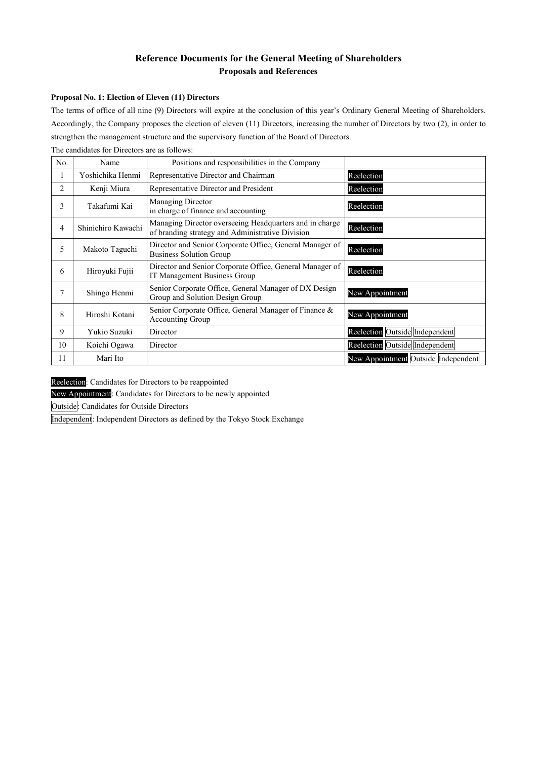## **Reference Documents for the General Meeting of Shareholders Proposals and References**

### **Proposal No. 1: Election of Eleven (11) Directors**

The terms of office of all nine (9) Directors will expire at the conclusion of this year's Ordinary General Meeting of Shareholders. Accordingly, the Company proposes the election of eleven (11) Directors, increasing the number of Directors by two (2), in order to strengthen the management structure and the supervisory function of the Board of Directors.

| No. | Name               | Positions and responsibilities in the Company                                                               |                                     |
|-----|--------------------|-------------------------------------------------------------------------------------------------------------|-------------------------------------|
| 1   | Yoshichika Henmi   | Representative Director and Chairman                                                                        | Reelection                          |
| 2   | Kenji Miura        | Representative Director and President                                                                       | Reelection                          |
| 3   | Takafumi Kai       | Managing Director<br>in charge of finance and accounting                                                    | Reelection                          |
| 4   | Shinichiro Kawachi | Managing Director overseeing Headquarters and in charge<br>of branding strategy and Administrative Division | Reelection                          |
| 5   | Makoto Taguchi     | Director and Senior Corporate Office, General Manager of<br><b>Business Solution Group</b>                  | Reelection                          |
| 6   | Hiroyuki Fujii     | Director and Senior Corporate Office, General Manager of<br>IT Management Business Group                    | Reelection                          |
| 7   | Shingo Henmi       | Senior Corporate Office, General Manager of DX Design<br>Group and Solution Design Group                    | New Appointment                     |
| 8   | Hiroshi Kotani     | Senior Corporate Office, General Manager of Finance &<br>Accounting Group                                   | New Appointment                     |
| 9   | Yukio Suzuki       | Director                                                                                                    | Reelection Outside Independent      |
| 10  | Koichi Ogawa       | Director                                                                                                    | Reelection Outside Independent      |
| 11  | Mari Ito           |                                                                                                             | New Appointment Outside Independent |

The candidates for Directors are as follows:

Reelection: Candidates for Directors to be reappointed

New Appointment: Candidates for Directors to be newly appointed

Outside: Candidates for Outside Directors

Independent: Independent Directors as defined by the Tokyo Stock Exchange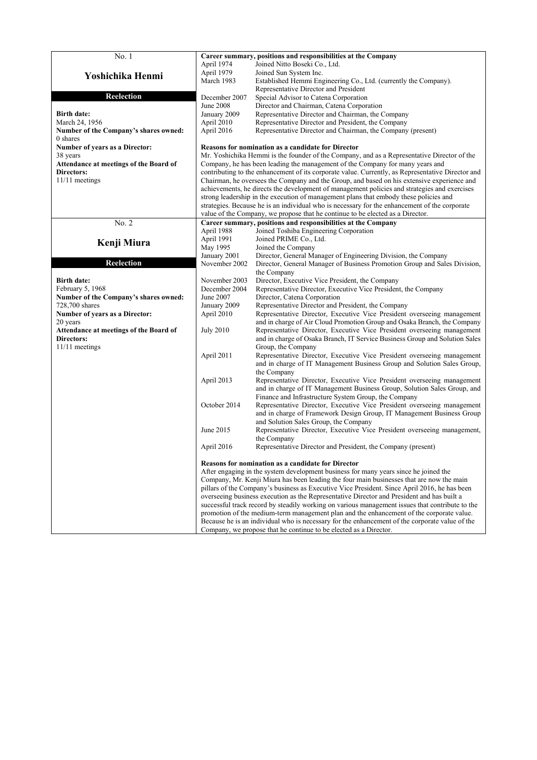| No. 1                                                       |                  | Career summary, positions and responsibilities at the Company                                                                                                                   |
|-------------------------------------------------------------|------------------|---------------------------------------------------------------------------------------------------------------------------------------------------------------------------------|
|                                                             | April 1974       | Joined Nitto Boseki Co., Ltd.                                                                                                                                                   |
|                                                             | April 1979       | Joined Sun System Inc.                                                                                                                                                          |
| Yoshichika Henmi                                            | March 1983       | Established Hemmi Engineering Co., Ltd. (currently the Company).                                                                                                                |
|                                                             |                  | Representative Director and President                                                                                                                                           |
| <b>Reelection</b>                                           | December 2007    | Special Advisor to Catena Corporation                                                                                                                                           |
|                                                             | <b>June 2008</b> | Director and Chairman, Catena Corporation                                                                                                                                       |
| <b>Birth date:</b>                                          | January 2009     |                                                                                                                                                                                 |
|                                                             |                  | Representative Director and Chairman, the Company                                                                                                                               |
| March 24, 1956                                              | April 2010       | Representative Director and President, the Company                                                                                                                              |
| Number of the Company's shares owned:                       | April 2016       | Representative Director and Chairman, the Company (present)                                                                                                                     |
| 0 shares                                                    |                  |                                                                                                                                                                                 |
| Number of years as a Director:                              |                  | Reasons for nomination as a candidate for Director                                                                                                                              |
| 38 years                                                    |                  | Mr. Yoshichika Hemmi is the founder of the Company, and as a Representative Director of the                                                                                     |
| Attendance at meetings of the Board of<br><b>Directors:</b> |                  | Company, he has been leading the management of the Company for many years and                                                                                                   |
|                                                             |                  | contributing to the enhancement of its corporate value. Currently, as Representative Director and                                                                               |
| 11/11 meetings                                              |                  | Chairman, he oversees the Company and the Group, and based on his extensive experience and                                                                                      |
|                                                             |                  | achievements, he directs the development of management policies and strategies and exercises                                                                                    |
|                                                             |                  | strong leadership in the execution of management plans that embody these policies and                                                                                           |
|                                                             |                  | strategies. Because he is an individual who is necessary for the enhancement of the corporate<br>value of the Company, we propose that he continue to be elected as a Director. |
| No. 2                                                       |                  | Career summary, positions and responsibilities at the Company                                                                                                                   |
|                                                             | April 1988       | Joined Toshiba Engineering Corporation                                                                                                                                          |
|                                                             | April 1991       | Joined PRIME Co., Ltd.                                                                                                                                                          |
| Kenji Miura                                                 | May 1995         | Joined the Company                                                                                                                                                              |
|                                                             | January 2001     | Director, General Manager of Engineering Division, the Company                                                                                                                  |
| <b>Reelection</b>                                           | November 2002    | Director, General Manager of Business Promotion Group and Sales Division,                                                                                                       |
|                                                             |                  | the Company                                                                                                                                                                     |
| <b>Birth date:</b>                                          | November 2003    | Director, Executive Vice President, the Company                                                                                                                                 |
| February 5, 1968                                            | December 2004    | Representative Director, Executive Vice President, the Company                                                                                                                  |
| Number of the Company's shares owned:                       | June 2007        | Director, Catena Corporation                                                                                                                                                    |
| 728,700 shares                                              | January 2009     | Representative Director and President, the Company                                                                                                                              |
| Number of years as a Director:                              | April 2010       | Representative Director, Executive Vice President overseeing management                                                                                                         |
| 20 years                                                    |                  | and in charge of Air Cloud Promotion Group and Osaka Branch, the Company                                                                                                        |
| Attendance at meetings of the Board of                      | <b>July 2010</b> | Representative Director, Executive Vice President overseeing management                                                                                                         |
| Directors:                                                  |                  | and in charge of Osaka Branch, IT Service Business Group and Solution Sales                                                                                                     |
| 11/11 meetings                                              |                  | Group, the Company                                                                                                                                                              |
|                                                             | April 2011       | Representative Director, Executive Vice President overseeing management                                                                                                         |
|                                                             |                  | and in charge of IT Management Business Group and Solution Sales Group,                                                                                                         |
|                                                             |                  | the Company                                                                                                                                                                     |
|                                                             | April 2013       | Representative Director, Executive Vice President overseeing management                                                                                                         |
|                                                             |                  | and in charge of IT Management Business Group, Solution Sales Group, and                                                                                                        |
|                                                             |                  | Finance and Infrastructure System Group, the Company                                                                                                                            |
|                                                             | October 2014     | Representative Director, Executive Vice President overseeing management                                                                                                         |
|                                                             |                  | and in charge of Framework Design Group, IT Management Business Group                                                                                                           |
|                                                             | June 2015        | and Solution Sales Group, the Company<br>Representative Director, Executive Vice President overseeing management,                                                               |
|                                                             |                  | the Company                                                                                                                                                                     |
|                                                             | April 2016       | Representative Director and President, the Company (present)                                                                                                                    |
|                                                             |                  |                                                                                                                                                                                 |
|                                                             |                  | <b>Reasons for nomination as a candidate for Director</b>                                                                                                                       |
|                                                             |                  | After engaging in the system development business for many years since he joined the                                                                                            |
|                                                             |                  | Company, Mr. Kenji Miura has been leading the four main businesses that are now the main                                                                                        |
|                                                             |                  | pillars of the Company's business as Executive Vice President. Since April 2016, he has been                                                                                    |
|                                                             |                  | overseeing business execution as the Representative Director and President and has built a                                                                                      |
|                                                             |                  | successful track record by steadily working on various management issues that contribute to the                                                                                 |
|                                                             |                  | promotion of the medium-term management plan and the enhancement of the corporate value.                                                                                        |
|                                                             |                  | Because he is an individual who is necessary for the enhancement of the corporate value of the                                                                                  |
|                                                             |                  | Company, we propose that he continue to be elected as a Director.                                                                                                               |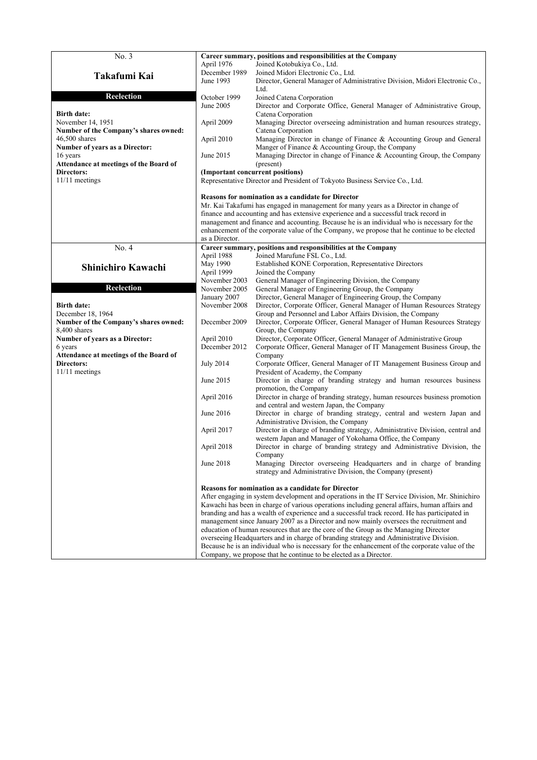| No. 3                                     |                                                                                                | Career summary, positions and responsibilities at the Company                                                                                   |  |
|-------------------------------------------|------------------------------------------------------------------------------------------------|-------------------------------------------------------------------------------------------------------------------------------------------------|--|
|                                           | April 1976                                                                                     | Joined Kotobukiya Co., Ltd.                                                                                                                     |  |
| Takafumi Kai                              | December 1989                                                                                  | Joined Midori Electronic Co., Ltd.                                                                                                              |  |
|                                           | June 1993                                                                                      | Director, General Manager of Administrative Division, Midori Electronic Co.,                                                                    |  |
|                                           |                                                                                                | Ltd.                                                                                                                                            |  |
| Reelection                                | October 1999                                                                                   | Joined Catena Corporation                                                                                                                       |  |
|                                           | June 2005                                                                                      | Director and Corporate Office, General Manager of Administrative Group,                                                                         |  |
| <b>Birth date:</b><br>November 14, 1951   | April 2009                                                                                     | Catena Corporation<br>Managing Director overseeing administration and human resources strategy,                                                 |  |
| Number of the Company's shares owned:     |                                                                                                | Catena Corporation                                                                                                                              |  |
| $46,500$ shares                           | April 2010                                                                                     | Managing Director in change of Finance & Accounting Group and General                                                                           |  |
| Number of years as a Director:            |                                                                                                | Manger of Finance & Accounting Group, the Company                                                                                               |  |
| 16 years                                  | June 2015                                                                                      | Managing Director in change of Finance & Accounting Group, the Company                                                                          |  |
| Attendance at meetings of the Board of    |                                                                                                | (present)                                                                                                                                       |  |
| Directors:                                |                                                                                                | (Important concurrent positions)                                                                                                                |  |
| 11/11 meetings                            |                                                                                                | Representative Director and President of Tokyoto Business Service Co., Ltd.                                                                     |  |
|                                           |                                                                                                | <b>Reasons for nomination as a candidate for Director</b>                                                                                       |  |
|                                           |                                                                                                | Mr. Kai Takafumi has engaged in management for many years as a Director in change of                                                            |  |
|                                           |                                                                                                | finance and accounting and has extensive experience and a successful track record in                                                            |  |
|                                           |                                                                                                | management and finance and accounting. Because he is an individual who is necessary for the                                                     |  |
|                                           |                                                                                                | enhancement of the corporate value of the Company, we propose that he continue to be elected                                                    |  |
|                                           | as a Director.                                                                                 |                                                                                                                                                 |  |
| No. 4                                     |                                                                                                | Career summary, positions and responsibilities at the Company                                                                                   |  |
|                                           | April 1988                                                                                     | Joined Marufune FSL Co., Ltd.                                                                                                                   |  |
| Shinichiro Kawachi                        | May 1990<br>April 1999                                                                         | Established KONE Corporation, Representative Directors<br>Joined the Company                                                                    |  |
|                                           | November 2003                                                                                  | General Manager of Engineering Division, the Company                                                                                            |  |
| <b>Reelection</b>                         | November 2005                                                                                  | General Manager of Engineering Group, the Company                                                                                               |  |
|                                           | January 2007                                                                                   | Director, General Manager of Engineering Group, the Company                                                                                     |  |
| <b>Birth date:</b>                        | November 2008                                                                                  | Director, Corporate Officer, General Manager of Human Resources Strategy                                                                        |  |
| December 18, 1964                         |                                                                                                | Group and Personnel and Labor Affairs Division, the Company                                                                                     |  |
| Number of the Company's shares owned:     | December 2009                                                                                  | Director, Corporate Officer, General Manager of Human Resources Strategy                                                                        |  |
| 8,400 shares                              |                                                                                                | Group, the Company                                                                                                                              |  |
| Number of years as a Director:<br>6 years | April 2010<br>December 2012                                                                    | Director, Corporate Officer, General Manager of Administrative Group<br>Corporate Officer, General Manager of IT Management Business Group, the |  |
| Attendance at meetings of the Board of    |                                                                                                | Company                                                                                                                                         |  |
| <b>Directors:</b>                         | <b>July 2014</b>                                                                               | Corporate Officer, General Manager of IT Management Business Group and                                                                          |  |
| 11/11 meetings                            |                                                                                                | President of Academy, the Company                                                                                                               |  |
|                                           | June 2015                                                                                      | Director in charge of branding strategy and human resources business                                                                            |  |
|                                           |                                                                                                | promotion, the Company                                                                                                                          |  |
|                                           | April 2016                                                                                     | Director in charge of branding strategy, human resources business promotion                                                                     |  |
|                                           | June 2016                                                                                      | and central and western Japan, the Company                                                                                                      |  |
|                                           |                                                                                                | Director in charge of branding strategy, central and western Japan and<br>Administrative Division, the Company                                  |  |
|                                           | April 2017                                                                                     | Director in charge of branding strategy, Administrative Division, central and                                                                   |  |
|                                           |                                                                                                | western Japan and Manager of Yokohama Office, the Company                                                                                       |  |
|                                           | April 2018                                                                                     | Director in charge of branding strategy and Administrative Division, the                                                                        |  |
|                                           |                                                                                                | Company                                                                                                                                         |  |
|                                           | June 2018                                                                                      | Managing Director overseeing Headquarters and in charge of branding                                                                             |  |
|                                           |                                                                                                | strategy and Administrative Division, the Company (present)                                                                                     |  |
|                                           | <b>Reasons for nomination as a candidate for Director</b>                                      |                                                                                                                                                 |  |
|                                           | After engaging in system development and operations in the IT Service Division, Mr. Shinichiro |                                                                                                                                                 |  |
|                                           |                                                                                                | Kawachi has been in charge of various operations including general affairs, human affairs and                                                   |  |
|                                           |                                                                                                | branding and has a wealth of experience and a successful track record. He has participated in                                                   |  |
|                                           | management since January 2007 as a Director and now mainly oversees the recruitment and        |                                                                                                                                                 |  |
|                                           | education of human resources that are the core of the Group as the Managing Director           |                                                                                                                                                 |  |
|                                           |                                                                                                | overseeing Headquarters and in charge of branding strategy and Administrative Division.                                                         |  |
|                                           |                                                                                                | Because he is an individual who is necessary for the enhancement of the corporate value of the                                                  |  |
|                                           |                                                                                                | Company, we propose that he continue to be elected as a Director.                                                                               |  |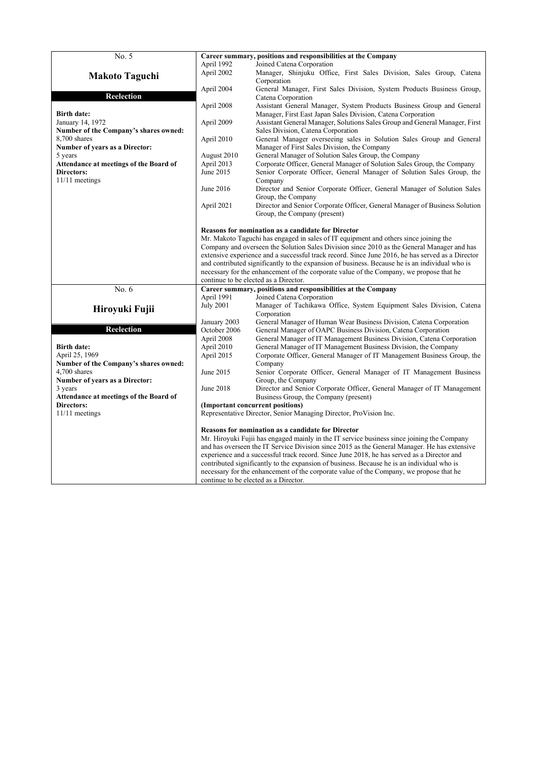|                                                      |                                                                                         | Career summary, positions and responsibilities at the Company                                                                             |
|------------------------------------------------------|-----------------------------------------------------------------------------------------|-------------------------------------------------------------------------------------------------------------------------------------------|
| No. 5                                                |                                                                                         |                                                                                                                                           |
|                                                      | April 1992                                                                              | Joined Catena Corporation                                                                                                                 |
| <b>Makoto Taguchi</b>                                | April 2002                                                                              | Manager, Shinjuku Office, First Sales Division, Sales Group, Catena                                                                       |
|                                                      |                                                                                         | Corporation                                                                                                                               |
| <b>Reelection</b>                                    | April 2004                                                                              | General Manager, First Sales Division, System Products Business Group,                                                                    |
|                                                      |                                                                                         | Catena Corporation                                                                                                                        |
|                                                      | April 2008                                                                              | Assistant General Manager, System Products Business Group and General                                                                     |
| <b>Birth date:</b>                                   |                                                                                         | Manager, First East Japan Sales Division, Catena Corporation                                                                              |
| January 14, 1972                                     | April 2009                                                                              | Assistant General Manager, Solutions Sales Group and General Manager, First                                                               |
| Number of the Company's shares owned:                |                                                                                         | Sales Division, Catena Corporation                                                                                                        |
| 8,700 shares                                         | April 2010                                                                              | General Manager overseeing sales in Solution Sales Group and General                                                                      |
| <b>Number of years as a Director:</b>                |                                                                                         | Manager of First Sales Division, the Company                                                                                              |
| 5 years                                              | August 2010                                                                             | General Manager of Solution Sales Group, the Company                                                                                      |
| Attendance at meetings of the Board of               | April 2013                                                                              | Corporate Officer, General Manager of Solution Sales Group, the Company                                                                   |
| Directors:                                           | June 2015                                                                               | Senior Corporate Officer, General Manager of Solution Sales Group, the                                                                    |
| $11/11$ meetings                                     |                                                                                         | Company                                                                                                                                   |
|                                                      | June 2016                                                                               | Director and Senior Corporate Officer, General Manager of Solution Sales                                                                  |
|                                                      |                                                                                         | Group, the Company                                                                                                                        |
|                                                      | April 2021                                                                              | Director and Senior Corporate Officer, General Manager of Business Solution                                                               |
|                                                      |                                                                                         | Group, the Company (present)                                                                                                              |
|                                                      |                                                                                         | Reasons for nomination as a candidate for Director                                                                                        |
|                                                      |                                                                                         | Mr. Makoto Taguchi has engaged in sales of IT equipment and others since joining the                                                      |
|                                                      |                                                                                         | Company and overseen the Solution Sales Division since 2010 as the General Manager and has                                                |
|                                                      |                                                                                         | extensive experience and a successful track record. Since June 2016, he has served as a Director                                          |
|                                                      |                                                                                         | and contributed significantly to the expansion of business. Because he is an individual who is                                            |
|                                                      | necessary for the enhancement of the corporate value of the Company, we propose that he |                                                                                                                                           |
|                                                      |                                                                                         |                                                                                                                                           |
|                                                      |                                                                                         |                                                                                                                                           |
|                                                      |                                                                                         | continue to be elected as a Director.                                                                                                     |
| No. 6                                                |                                                                                         | Career summary, positions and responsibilities at the Company                                                                             |
|                                                      | April 1991                                                                              | Joined Catena Corporation                                                                                                                 |
| Hiroyuki Fujii                                       | <b>July 2001</b>                                                                        | Manager of Tachikawa Office, System Equipment Sales Division, Catena                                                                      |
|                                                      |                                                                                         | Corporation                                                                                                                               |
|                                                      | January 2003                                                                            | General Manager of Human Wear Business Division, Catena Corporation                                                                       |
| <b>Reelection</b>                                    | October 2006                                                                            | General Manager of OAPC Business Division, Catena Corporation                                                                             |
| <b>Birth date:</b>                                   | April 2008<br>April 2010                                                                | General Manager of IT Management Business Division, Catena Corporation<br>General Manager of IT Management Business Division, the Company |
| April 25, 1969                                       | April 2015                                                                              | Corporate Officer, General Manager of IT Management Business Group, the                                                                   |
| Number of the Company's shares owned:                |                                                                                         | Company                                                                                                                                   |
| 4,700 shares                                         | June 2015                                                                               | Senior Corporate Officer, General Manager of IT Management Business                                                                       |
| <b>Number of years as a Director:</b>                |                                                                                         | Group, the Company                                                                                                                        |
| 3 years                                              | June 2018                                                                               | Director and Senior Corporate Officer, General Manager of IT Management                                                                   |
|                                                      |                                                                                         | Business Group, the Company (present)                                                                                                     |
| Attendance at meetings of the Board of<br>Directors: |                                                                                         | (Important concurrent positions)                                                                                                          |
| $11/11$ meetings                                     |                                                                                         | Representative Director, Senior Managing Director, ProVision Inc.                                                                         |
|                                                      |                                                                                         |                                                                                                                                           |
|                                                      |                                                                                         | Reasons for nomination as a candidate for Director                                                                                        |
|                                                      |                                                                                         | Mr. Hiroyuki Fujii has engaged mainly in the IT service business since joining the Company                                                |
|                                                      |                                                                                         | and has overseen the IT Service Division since 2015 as the General Manager. He has extensive                                              |
|                                                      |                                                                                         | experience and a successful track record. Since June 2018, he has served as a Director and                                                |
|                                                      |                                                                                         | contributed significantly to the expansion of business. Because he is an individual who is                                                |
|                                                      |                                                                                         | necessary for the enhancement of the corporate value of the Company, we propose that he<br>continue to be elected as a Director.          |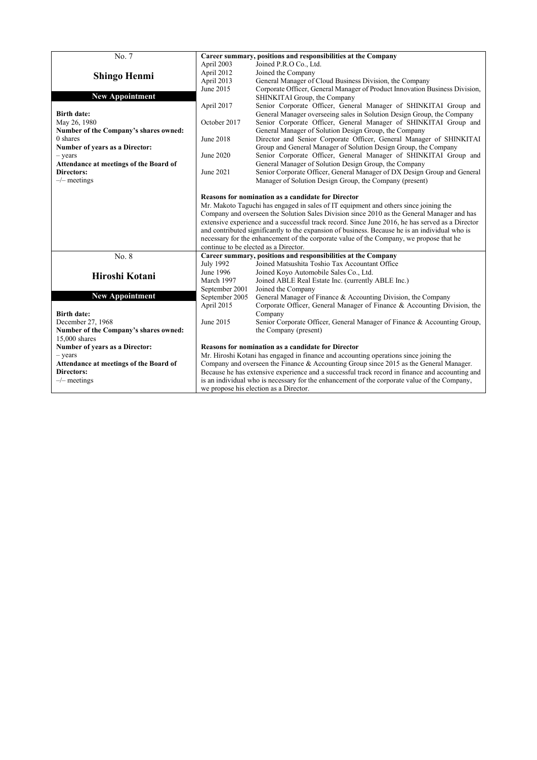| No. 7<br>Career summary, positions and responsibilities at the Company<br>April 2003<br>Joined P.R.O Co., Ltd.<br>Joined the Company<br>April 2012<br><b>Shingo Henmi</b><br>General Manager of Cloud Business Division, the Company<br>April 2013<br>June 2015<br>Corporate Officer, General Manager of Product Innovation Business Division,<br><b>New Appointment</b><br>SHINKITAI Group, the Company<br>April 2017<br>Senior Corporate Officer, General Manager of SHINKITAI Group and<br>General Manager overseeing sales in Solution Design Group, the Company<br><b>Birth date:</b><br>May 26, 1980<br>Senior Corporate Officer, General Manager of SHINKITAI Group and<br>October 2017<br>Number of the Company's shares owned:<br>General Manager of Solution Design Group, the Company<br>Director and Senior Corporate Officer, General Manager of SHINKITAI<br>0 shares<br>June 2018<br>Number of years as a Director:<br>Group and General Manager of Solution Design Group, the Company<br>Senior Corporate Officer, General Manager of SHINKITAI Group and<br>June 2020<br>$-$ years<br>Attendance at meetings of the Board of<br>General Manager of Solution Design Group, the Company<br>Senior Corporate Officer, General Manager of DX Design Group and General<br><b>Directors:</b><br>June 2021<br>$-\prime$ meetings<br>Manager of Solution Design Group, the Company (present)<br><b>Reasons for nomination as a candidate for Director</b><br>Mr. Makoto Taguchi has engaged in sales of IT equipment and others since joining the<br>Company and overseen the Solution Sales Division since 2010 as the General Manager and has<br>extensive experience and a successful track record. Since June 2016, he has served as a Director<br>and contributed significantly to the expansion of business. Because he is an individual who is<br>necessary for the enhancement of the corporate value of the Company, we propose that he<br>continue to be elected as a Director.<br>No. 8<br>Career summary, positions and responsibilities at the Company<br>Joined Matsushita Toshio Tax Accountant Office<br><b>July 1992</b><br>June 1996<br>Joined Koyo Automobile Sales Co., Ltd.<br>Hiroshi Kotani<br>March 1997<br>Joined ABLE Real Estate Inc. (currently ABLE Inc.)<br>September 2001<br>Joined the Company<br><b>New Appointment</b><br>September 2005<br>General Manager of Finance & Accounting Division, the Company<br>April 2015<br>Corporate Officer, General Manager of Finance & Accounting Division, the<br><b>Birth date:</b><br>Company<br>December 27, 1968<br>June 2015<br>Senior Corporate Officer, General Manager of Finance & Accounting Group,<br>Number of the Company's shares owned:<br>the Company (present)<br>15,000 shares<br>Number of years as a Director:<br><b>Reasons for nomination as a candidate for Director</b><br>Mr. Hiroshi Kotani has engaged in finance and accounting operations since joining the<br>$-$ years |                                        |                                                                                              |  |  |
|---------------------------------------------------------------------------------------------------------------------------------------------------------------------------------------------------------------------------------------------------------------------------------------------------------------------------------------------------------------------------------------------------------------------------------------------------------------------------------------------------------------------------------------------------------------------------------------------------------------------------------------------------------------------------------------------------------------------------------------------------------------------------------------------------------------------------------------------------------------------------------------------------------------------------------------------------------------------------------------------------------------------------------------------------------------------------------------------------------------------------------------------------------------------------------------------------------------------------------------------------------------------------------------------------------------------------------------------------------------------------------------------------------------------------------------------------------------------------------------------------------------------------------------------------------------------------------------------------------------------------------------------------------------------------------------------------------------------------------------------------------------------------------------------------------------------------------------------------------------------------------------------------------------------------------------------------------------------------------------------------------------------------------------------------------------------------------------------------------------------------------------------------------------------------------------------------------------------------------------------------------------------------------------------------------------------------------------------------------------------------------------------------------------------------------------------------------------------------------------------------------------------------------------------------------------------------------------------------------------------------------------------------------------------------------------------------------------------------------------------------------------------------------------------------------------------------------------------------------------------------------------------------------------------------------------------------------------------------------------|----------------------------------------|----------------------------------------------------------------------------------------------|--|--|
|                                                                                                                                                                                                                                                                                                                                                                                                                                                                                                                                                                                                                                                                                                                                                                                                                                                                                                                                                                                                                                                                                                                                                                                                                                                                                                                                                                                                                                                                                                                                                                                                                                                                                                                                                                                                                                                                                                                                                                                                                                                                                                                                                                                                                                                                                                                                                                                                                                                                                                                                                                                                                                                                                                                                                                                                                                                                                                                                                                                       |                                        |                                                                                              |  |  |
|                                                                                                                                                                                                                                                                                                                                                                                                                                                                                                                                                                                                                                                                                                                                                                                                                                                                                                                                                                                                                                                                                                                                                                                                                                                                                                                                                                                                                                                                                                                                                                                                                                                                                                                                                                                                                                                                                                                                                                                                                                                                                                                                                                                                                                                                                                                                                                                                                                                                                                                                                                                                                                                                                                                                                                                                                                                                                                                                                                                       |                                        |                                                                                              |  |  |
|                                                                                                                                                                                                                                                                                                                                                                                                                                                                                                                                                                                                                                                                                                                                                                                                                                                                                                                                                                                                                                                                                                                                                                                                                                                                                                                                                                                                                                                                                                                                                                                                                                                                                                                                                                                                                                                                                                                                                                                                                                                                                                                                                                                                                                                                                                                                                                                                                                                                                                                                                                                                                                                                                                                                                                                                                                                                                                                                                                                       |                                        |                                                                                              |  |  |
|                                                                                                                                                                                                                                                                                                                                                                                                                                                                                                                                                                                                                                                                                                                                                                                                                                                                                                                                                                                                                                                                                                                                                                                                                                                                                                                                                                                                                                                                                                                                                                                                                                                                                                                                                                                                                                                                                                                                                                                                                                                                                                                                                                                                                                                                                                                                                                                                                                                                                                                                                                                                                                                                                                                                                                                                                                                                                                                                                                                       |                                        |                                                                                              |  |  |
|                                                                                                                                                                                                                                                                                                                                                                                                                                                                                                                                                                                                                                                                                                                                                                                                                                                                                                                                                                                                                                                                                                                                                                                                                                                                                                                                                                                                                                                                                                                                                                                                                                                                                                                                                                                                                                                                                                                                                                                                                                                                                                                                                                                                                                                                                                                                                                                                                                                                                                                                                                                                                                                                                                                                                                                                                                                                                                                                                                                       |                                        |                                                                                              |  |  |
|                                                                                                                                                                                                                                                                                                                                                                                                                                                                                                                                                                                                                                                                                                                                                                                                                                                                                                                                                                                                                                                                                                                                                                                                                                                                                                                                                                                                                                                                                                                                                                                                                                                                                                                                                                                                                                                                                                                                                                                                                                                                                                                                                                                                                                                                                                                                                                                                                                                                                                                                                                                                                                                                                                                                                                                                                                                                                                                                                                                       |                                        |                                                                                              |  |  |
|                                                                                                                                                                                                                                                                                                                                                                                                                                                                                                                                                                                                                                                                                                                                                                                                                                                                                                                                                                                                                                                                                                                                                                                                                                                                                                                                                                                                                                                                                                                                                                                                                                                                                                                                                                                                                                                                                                                                                                                                                                                                                                                                                                                                                                                                                                                                                                                                                                                                                                                                                                                                                                                                                                                                                                                                                                                                                                                                                                                       |                                        |                                                                                              |  |  |
|                                                                                                                                                                                                                                                                                                                                                                                                                                                                                                                                                                                                                                                                                                                                                                                                                                                                                                                                                                                                                                                                                                                                                                                                                                                                                                                                                                                                                                                                                                                                                                                                                                                                                                                                                                                                                                                                                                                                                                                                                                                                                                                                                                                                                                                                                                                                                                                                                                                                                                                                                                                                                                                                                                                                                                                                                                                                                                                                                                                       |                                        |                                                                                              |  |  |
|                                                                                                                                                                                                                                                                                                                                                                                                                                                                                                                                                                                                                                                                                                                                                                                                                                                                                                                                                                                                                                                                                                                                                                                                                                                                                                                                                                                                                                                                                                                                                                                                                                                                                                                                                                                                                                                                                                                                                                                                                                                                                                                                                                                                                                                                                                                                                                                                                                                                                                                                                                                                                                                                                                                                                                                                                                                                                                                                                                                       |                                        |                                                                                              |  |  |
|                                                                                                                                                                                                                                                                                                                                                                                                                                                                                                                                                                                                                                                                                                                                                                                                                                                                                                                                                                                                                                                                                                                                                                                                                                                                                                                                                                                                                                                                                                                                                                                                                                                                                                                                                                                                                                                                                                                                                                                                                                                                                                                                                                                                                                                                                                                                                                                                                                                                                                                                                                                                                                                                                                                                                                                                                                                                                                                                                                                       |                                        |                                                                                              |  |  |
|                                                                                                                                                                                                                                                                                                                                                                                                                                                                                                                                                                                                                                                                                                                                                                                                                                                                                                                                                                                                                                                                                                                                                                                                                                                                                                                                                                                                                                                                                                                                                                                                                                                                                                                                                                                                                                                                                                                                                                                                                                                                                                                                                                                                                                                                                                                                                                                                                                                                                                                                                                                                                                                                                                                                                                                                                                                                                                                                                                                       |                                        |                                                                                              |  |  |
|                                                                                                                                                                                                                                                                                                                                                                                                                                                                                                                                                                                                                                                                                                                                                                                                                                                                                                                                                                                                                                                                                                                                                                                                                                                                                                                                                                                                                                                                                                                                                                                                                                                                                                                                                                                                                                                                                                                                                                                                                                                                                                                                                                                                                                                                                                                                                                                                                                                                                                                                                                                                                                                                                                                                                                                                                                                                                                                                                                                       |                                        |                                                                                              |  |  |
|                                                                                                                                                                                                                                                                                                                                                                                                                                                                                                                                                                                                                                                                                                                                                                                                                                                                                                                                                                                                                                                                                                                                                                                                                                                                                                                                                                                                                                                                                                                                                                                                                                                                                                                                                                                                                                                                                                                                                                                                                                                                                                                                                                                                                                                                                                                                                                                                                                                                                                                                                                                                                                                                                                                                                                                                                                                                                                                                                                                       |                                        |                                                                                              |  |  |
|                                                                                                                                                                                                                                                                                                                                                                                                                                                                                                                                                                                                                                                                                                                                                                                                                                                                                                                                                                                                                                                                                                                                                                                                                                                                                                                                                                                                                                                                                                                                                                                                                                                                                                                                                                                                                                                                                                                                                                                                                                                                                                                                                                                                                                                                                                                                                                                                                                                                                                                                                                                                                                                                                                                                                                                                                                                                                                                                                                                       |                                        |                                                                                              |  |  |
|                                                                                                                                                                                                                                                                                                                                                                                                                                                                                                                                                                                                                                                                                                                                                                                                                                                                                                                                                                                                                                                                                                                                                                                                                                                                                                                                                                                                                                                                                                                                                                                                                                                                                                                                                                                                                                                                                                                                                                                                                                                                                                                                                                                                                                                                                                                                                                                                                                                                                                                                                                                                                                                                                                                                                                                                                                                                                                                                                                                       |                                        |                                                                                              |  |  |
|                                                                                                                                                                                                                                                                                                                                                                                                                                                                                                                                                                                                                                                                                                                                                                                                                                                                                                                                                                                                                                                                                                                                                                                                                                                                                                                                                                                                                                                                                                                                                                                                                                                                                                                                                                                                                                                                                                                                                                                                                                                                                                                                                                                                                                                                                                                                                                                                                                                                                                                                                                                                                                                                                                                                                                                                                                                                                                                                                                                       |                                        |                                                                                              |  |  |
|                                                                                                                                                                                                                                                                                                                                                                                                                                                                                                                                                                                                                                                                                                                                                                                                                                                                                                                                                                                                                                                                                                                                                                                                                                                                                                                                                                                                                                                                                                                                                                                                                                                                                                                                                                                                                                                                                                                                                                                                                                                                                                                                                                                                                                                                                                                                                                                                                                                                                                                                                                                                                                                                                                                                                                                                                                                                                                                                                                                       |                                        |                                                                                              |  |  |
|                                                                                                                                                                                                                                                                                                                                                                                                                                                                                                                                                                                                                                                                                                                                                                                                                                                                                                                                                                                                                                                                                                                                                                                                                                                                                                                                                                                                                                                                                                                                                                                                                                                                                                                                                                                                                                                                                                                                                                                                                                                                                                                                                                                                                                                                                                                                                                                                                                                                                                                                                                                                                                                                                                                                                                                                                                                                                                                                                                                       |                                        |                                                                                              |  |  |
|                                                                                                                                                                                                                                                                                                                                                                                                                                                                                                                                                                                                                                                                                                                                                                                                                                                                                                                                                                                                                                                                                                                                                                                                                                                                                                                                                                                                                                                                                                                                                                                                                                                                                                                                                                                                                                                                                                                                                                                                                                                                                                                                                                                                                                                                                                                                                                                                                                                                                                                                                                                                                                                                                                                                                                                                                                                                                                                                                                                       |                                        |                                                                                              |  |  |
|                                                                                                                                                                                                                                                                                                                                                                                                                                                                                                                                                                                                                                                                                                                                                                                                                                                                                                                                                                                                                                                                                                                                                                                                                                                                                                                                                                                                                                                                                                                                                                                                                                                                                                                                                                                                                                                                                                                                                                                                                                                                                                                                                                                                                                                                                                                                                                                                                                                                                                                                                                                                                                                                                                                                                                                                                                                                                                                                                                                       |                                        |                                                                                              |  |  |
|                                                                                                                                                                                                                                                                                                                                                                                                                                                                                                                                                                                                                                                                                                                                                                                                                                                                                                                                                                                                                                                                                                                                                                                                                                                                                                                                                                                                                                                                                                                                                                                                                                                                                                                                                                                                                                                                                                                                                                                                                                                                                                                                                                                                                                                                                                                                                                                                                                                                                                                                                                                                                                                                                                                                                                                                                                                                                                                                                                                       |                                        |                                                                                              |  |  |
|                                                                                                                                                                                                                                                                                                                                                                                                                                                                                                                                                                                                                                                                                                                                                                                                                                                                                                                                                                                                                                                                                                                                                                                                                                                                                                                                                                                                                                                                                                                                                                                                                                                                                                                                                                                                                                                                                                                                                                                                                                                                                                                                                                                                                                                                                                                                                                                                                                                                                                                                                                                                                                                                                                                                                                                                                                                                                                                                                                                       |                                        |                                                                                              |  |  |
|                                                                                                                                                                                                                                                                                                                                                                                                                                                                                                                                                                                                                                                                                                                                                                                                                                                                                                                                                                                                                                                                                                                                                                                                                                                                                                                                                                                                                                                                                                                                                                                                                                                                                                                                                                                                                                                                                                                                                                                                                                                                                                                                                                                                                                                                                                                                                                                                                                                                                                                                                                                                                                                                                                                                                                                                                                                                                                                                                                                       |                                        |                                                                                              |  |  |
|                                                                                                                                                                                                                                                                                                                                                                                                                                                                                                                                                                                                                                                                                                                                                                                                                                                                                                                                                                                                                                                                                                                                                                                                                                                                                                                                                                                                                                                                                                                                                                                                                                                                                                                                                                                                                                                                                                                                                                                                                                                                                                                                                                                                                                                                                                                                                                                                                                                                                                                                                                                                                                                                                                                                                                                                                                                                                                                                                                                       |                                        |                                                                                              |  |  |
|                                                                                                                                                                                                                                                                                                                                                                                                                                                                                                                                                                                                                                                                                                                                                                                                                                                                                                                                                                                                                                                                                                                                                                                                                                                                                                                                                                                                                                                                                                                                                                                                                                                                                                                                                                                                                                                                                                                                                                                                                                                                                                                                                                                                                                                                                                                                                                                                                                                                                                                                                                                                                                                                                                                                                                                                                                                                                                                                                                                       |                                        |                                                                                              |  |  |
|                                                                                                                                                                                                                                                                                                                                                                                                                                                                                                                                                                                                                                                                                                                                                                                                                                                                                                                                                                                                                                                                                                                                                                                                                                                                                                                                                                                                                                                                                                                                                                                                                                                                                                                                                                                                                                                                                                                                                                                                                                                                                                                                                                                                                                                                                                                                                                                                                                                                                                                                                                                                                                                                                                                                                                                                                                                                                                                                                                                       |                                        |                                                                                              |  |  |
|                                                                                                                                                                                                                                                                                                                                                                                                                                                                                                                                                                                                                                                                                                                                                                                                                                                                                                                                                                                                                                                                                                                                                                                                                                                                                                                                                                                                                                                                                                                                                                                                                                                                                                                                                                                                                                                                                                                                                                                                                                                                                                                                                                                                                                                                                                                                                                                                                                                                                                                                                                                                                                                                                                                                                                                                                                                                                                                                                                                       |                                        |                                                                                              |  |  |
|                                                                                                                                                                                                                                                                                                                                                                                                                                                                                                                                                                                                                                                                                                                                                                                                                                                                                                                                                                                                                                                                                                                                                                                                                                                                                                                                                                                                                                                                                                                                                                                                                                                                                                                                                                                                                                                                                                                                                                                                                                                                                                                                                                                                                                                                                                                                                                                                                                                                                                                                                                                                                                                                                                                                                                                                                                                                                                                                                                                       |                                        |                                                                                              |  |  |
|                                                                                                                                                                                                                                                                                                                                                                                                                                                                                                                                                                                                                                                                                                                                                                                                                                                                                                                                                                                                                                                                                                                                                                                                                                                                                                                                                                                                                                                                                                                                                                                                                                                                                                                                                                                                                                                                                                                                                                                                                                                                                                                                                                                                                                                                                                                                                                                                                                                                                                                                                                                                                                                                                                                                                                                                                                                                                                                                                                                       |                                        |                                                                                              |  |  |
|                                                                                                                                                                                                                                                                                                                                                                                                                                                                                                                                                                                                                                                                                                                                                                                                                                                                                                                                                                                                                                                                                                                                                                                                                                                                                                                                                                                                                                                                                                                                                                                                                                                                                                                                                                                                                                                                                                                                                                                                                                                                                                                                                                                                                                                                                                                                                                                                                                                                                                                                                                                                                                                                                                                                                                                                                                                                                                                                                                                       |                                        |                                                                                              |  |  |
|                                                                                                                                                                                                                                                                                                                                                                                                                                                                                                                                                                                                                                                                                                                                                                                                                                                                                                                                                                                                                                                                                                                                                                                                                                                                                                                                                                                                                                                                                                                                                                                                                                                                                                                                                                                                                                                                                                                                                                                                                                                                                                                                                                                                                                                                                                                                                                                                                                                                                                                                                                                                                                                                                                                                                                                                                                                                                                                                                                                       |                                        |                                                                                              |  |  |
|                                                                                                                                                                                                                                                                                                                                                                                                                                                                                                                                                                                                                                                                                                                                                                                                                                                                                                                                                                                                                                                                                                                                                                                                                                                                                                                                                                                                                                                                                                                                                                                                                                                                                                                                                                                                                                                                                                                                                                                                                                                                                                                                                                                                                                                                                                                                                                                                                                                                                                                                                                                                                                                                                                                                                                                                                                                                                                                                                                                       |                                        |                                                                                              |  |  |
|                                                                                                                                                                                                                                                                                                                                                                                                                                                                                                                                                                                                                                                                                                                                                                                                                                                                                                                                                                                                                                                                                                                                                                                                                                                                                                                                                                                                                                                                                                                                                                                                                                                                                                                                                                                                                                                                                                                                                                                                                                                                                                                                                                                                                                                                                                                                                                                                                                                                                                                                                                                                                                                                                                                                                                                                                                                                                                                                                                                       |                                        |                                                                                              |  |  |
|                                                                                                                                                                                                                                                                                                                                                                                                                                                                                                                                                                                                                                                                                                                                                                                                                                                                                                                                                                                                                                                                                                                                                                                                                                                                                                                                                                                                                                                                                                                                                                                                                                                                                                                                                                                                                                                                                                                                                                                                                                                                                                                                                                                                                                                                                                                                                                                                                                                                                                                                                                                                                                                                                                                                                                                                                                                                                                                                                                                       |                                        |                                                                                              |  |  |
|                                                                                                                                                                                                                                                                                                                                                                                                                                                                                                                                                                                                                                                                                                                                                                                                                                                                                                                                                                                                                                                                                                                                                                                                                                                                                                                                                                                                                                                                                                                                                                                                                                                                                                                                                                                                                                                                                                                                                                                                                                                                                                                                                                                                                                                                                                                                                                                                                                                                                                                                                                                                                                                                                                                                                                                                                                                                                                                                                                                       |                                        |                                                                                              |  |  |
|                                                                                                                                                                                                                                                                                                                                                                                                                                                                                                                                                                                                                                                                                                                                                                                                                                                                                                                                                                                                                                                                                                                                                                                                                                                                                                                                                                                                                                                                                                                                                                                                                                                                                                                                                                                                                                                                                                                                                                                                                                                                                                                                                                                                                                                                                                                                                                                                                                                                                                                                                                                                                                                                                                                                                                                                                                                                                                                                                                                       |                                        |                                                                                              |  |  |
|                                                                                                                                                                                                                                                                                                                                                                                                                                                                                                                                                                                                                                                                                                                                                                                                                                                                                                                                                                                                                                                                                                                                                                                                                                                                                                                                                                                                                                                                                                                                                                                                                                                                                                                                                                                                                                                                                                                                                                                                                                                                                                                                                                                                                                                                                                                                                                                                                                                                                                                                                                                                                                                                                                                                                                                                                                                                                                                                                                                       |                                        |                                                                                              |  |  |
|                                                                                                                                                                                                                                                                                                                                                                                                                                                                                                                                                                                                                                                                                                                                                                                                                                                                                                                                                                                                                                                                                                                                                                                                                                                                                                                                                                                                                                                                                                                                                                                                                                                                                                                                                                                                                                                                                                                                                                                                                                                                                                                                                                                                                                                                                                                                                                                                                                                                                                                                                                                                                                                                                                                                                                                                                                                                                                                                                                                       |                                        |                                                                                              |  |  |
|                                                                                                                                                                                                                                                                                                                                                                                                                                                                                                                                                                                                                                                                                                                                                                                                                                                                                                                                                                                                                                                                                                                                                                                                                                                                                                                                                                                                                                                                                                                                                                                                                                                                                                                                                                                                                                                                                                                                                                                                                                                                                                                                                                                                                                                                                                                                                                                                                                                                                                                                                                                                                                                                                                                                                                                                                                                                                                                                                                                       | Attendance at meetings of the Board of | Company and overseen the Finance & Accounting Group since $2015$ as the General Manager.     |  |  |
| <b>Directors:</b><br>Because he has extensive experience and a successful track record in finance and accounting and                                                                                                                                                                                                                                                                                                                                                                                                                                                                                                                                                                                                                                                                                                                                                                                                                                                                                                                                                                                                                                                                                                                                                                                                                                                                                                                                                                                                                                                                                                                                                                                                                                                                                                                                                                                                                                                                                                                                                                                                                                                                                                                                                                                                                                                                                                                                                                                                                                                                                                                                                                                                                                                                                                                                                                                                                                                                  |                                        |                                                                                              |  |  |
| $-\prime$ meetings                                                                                                                                                                                                                                                                                                                                                                                                                                                                                                                                                                                                                                                                                                                                                                                                                                                                                                                                                                                                                                                                                                                                                                                                                                                                                                                                                                                                                                                                                                                                                                                                                                                                                                                                                                                                                                                                                                                                                                                                                                                                                                                                                                                                                                                                                                                                                                                                                                                                                                                                                                                                                                                                                                                                                                                                                                                                                                                                                                    |                                        | is an individual who is necessary for the enhancement of the corporate value of the Company, |  |  |
| we propose his election as a Director.                                                                                                                                                                                                                                                                                                                                                                                                                                                                                                                                                                                                                                                                                                                                                                                                                                                                                                                                                                                                                                                                                                                                                                                                                                                                                                                                                                                                                                                                                                                                                                                                                                                                                                                                                                                                                                                                                                                                                                                                                                                                                                                                                                                                                                                                                                                                                                                                                                                                                                                                                                                                                                                                                                                                                                                                                                                                                                                                                |                                        |                                                                                              |  |  |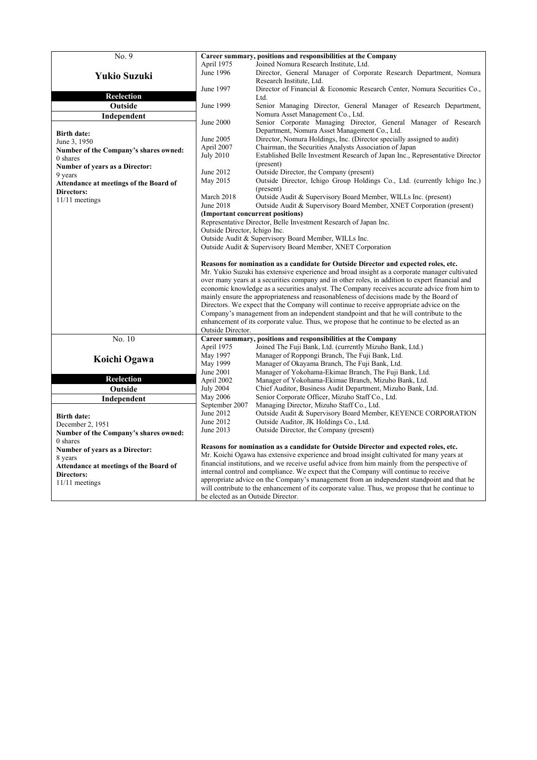| No. 9                                                |                                                                                                                                                                                                                                                                                                                                                                              | Career summary, positions and responsibilities at the Company                                                        |  |
|------------------------------------------------------|------------------------------------------------------------------------------------------------------------------------------------------------------------------------------------------------------------------------------------------------------------------------------------------------------------------------------------------------------------------------------|----------------------------------------------------------------------------------------------------------------------|--|
|                                                      | April 1975                                                                                                                                                                                                                                                                                                                                                                   | Joined Nomura Research Institute, Ltd.                                                                               |  |
|                                                      | June 1996                                                                                                                                                                                                                                                                                                                                                                    | Director, General Manager of Corporate Research Department, Nomura                                                   |  |
| <b>Yukio Suzuki</b>                                  |                                                                                                                                                                                                                                                                                                                                                                              | Research Institute, Ltd.                                                                                             |  |
|                                                      | June 1997                                                                                                                                                                                                                                                                                                                                                                    | Director of Financial & Economic Research Center, Nomura Securities Co.,                                             |  |
| <b>Reelection</b>                                    |                                                                                                                                                                                                                                                                                                                                                                              | Ltd.                                                                                                                 |  |
| Outside                                              | June 1999                                                                                                                                                                                                                                                                                                                                                                    | Senior Managing Director, General Manager of Research Department,                                                    |  |
| Independent                                          |                                                                                                                                                                                                                                                                                                                                                                              | Nomura Asset Management Co., Ltd.                                                                                    |  |
|                                                      | June 2000                                                                                                                                                                                                                                                                                                                                                                    | Senior Corporate Managing Director, General Manager of Research                                                      |  |
| <b>Birth date:</b>                                   |                                                                                                                                                                                                                                                                                                                                                                              | Department, Nomura Asset Management Co., Ltd.                                                                        |  |
| June 3, 1950                                         | June 2005                                                                                                                                                                                                                                                                                                                                                                    | Director, Nomura Holdings, Inc. (Director specially assigned to audit)                                               |  |
| Number of the Company's shares owned:                | April 2007                                                                                                                                                                                                                                                                                                                                                                   | Chairman, the Securities Analysts Association of Japan                                                               |  |
| 0 shares                                             | <b>July 2010</b>                                                                                                                                                                                                                                                                                                                                                             | Established Belle Investment Research of Japan Inc., Representative Director                                         |  |
| <b>Number of years as a Director:</b>                |                                                                                                                                                                                                                                                                                                                                                                              | (present)                                                                                                            |  |
| 9 years                                              | June 2012                                                                                                                                                                                                                                                                                                                                                                    | Outside Director, the Company (present)<br>Outside Director, Ichigo Group Holdings Co., Ltd. (currently Ichigo Inc.) |  |
| Attendance at meetings of the Board of               | May 2015                                                                                                                                                                                                                                                                                                                                                                     | (present)                                                                                                            |  |
| Directors:                                           | March 2018                                                                                                                                                                                                                                                                                                                                                                   | Outside Audit & Supervisory Board Member, WILLs Inc. (present)                                                       |  |
| $11/11$ meetings                                     | June 2018                                                                                                                                                                                                                                                                                                                                                                    | Outside Audit & Supervisory Board Member, XNET Corporation (present)                                                 |  |
|                                                      |                                                                                                                                                                                                                                                                                                                                                                              | (Important concurrent positions)                                                                                     |  |
|                                                      |                                                                                                                                                                                                                                                                                                                                                                              | Representative Director, Belle Investment Research of Japan Inc.                                                     |  |
|                                                      | Outside Director, Ichigo Inc.                                                                                                                                                                                                                                                                                                                                                |                                                                                                                      |  |
|                                                      |                                                                                                                                                                                                                                                                                                                                                                              | Outside Audit & Supervisory Board Member, WILLs Inc.                                                                 |  |
|                                                      |                                                                                                                                                                                                                                                                                                                                                                              | Outside Audit & Supervisory Board Member, XNET Corporation                                                           |  |
|                                                      |                                                                                                                                                                                                                                                                                                                                                                              |                                                                                                                      |  |
|                                                      | Reasons for nomination as a candidate for Outside Director and expected roles, etc.                                                                                                                                                                                                                                                                                          |                                                                                                                      |  |
|                                                      | Mr. Yukio Suzuki has extensive experience and broad insight as a corporate manager cultivated                                                                                                                                                                                                                                                                                |                                                                                                                      |  |
|                                                      | over many years at a securities company and in other roles, in addition to expert financial and                                                                                                                                                                                                                                                                              |                                                                                                                      |  |
|                                                      | economic knowledge as a securities analyst. The Company receives accurate advice from him to<br>mainly ensure the appropriateness and reasonableness of decisions made by the Board of<br>Directors. We expect that the Company will continue to receive appropriate advice on the<br>Company's management from an independent standpoint and that he will contribute to the |                                                                                                                      |  |
|                                                      |                                                                                                                                                                                                                                                                                                                                                                              |                                                                                                                      |  |
|                                                      |                                                                                                                                                                                                                                                                                                                                                                              |                                                                                                                      |  |
|                                                      |                                                                                                                                                                                                                                                                                                                                                                              | enhancement of its corporate value. Thus, we propose that he continue to be elected as an                            |  |
|                                                      | Outside Director.                                                                                                                                                                                                                                                                                                                                                            |                                                                                                                      |  |
| No. 10                                               |                                                                                                                                                                                                                                                                                                                                                                              | Career summary, positions and responsibilities at the Company                                                        |  |
|                                                      | April 1975                                                                                                                                                                                                                                                                                                                                                                   | Joined The Fuji Bank, Ltd. (currently Mizuho Bank, Ltd.)                                                             |  |
| Koichi Ogawa                                         | May 1997                                                                                                                                                                                                                                                                                                                                                                     | Manager of Roppongi Branch, The Fuji Bank, Ltd.                                                                      |  |
|                                                      | May 1999                                                                                                                                                                                                                                                                                                                                                                     | Manager of Okayama Branch, The Fuji Bank, Ltd.                                                                       |  |
|                                                      | June 2001                                                                                                                                                                                                                                                                                                                                                                    | Manager of Yokohama-Ekimae Branch, The Fuji Bank, Ltd.                                                               |  |
| Reelection                                           | April 2002                                                                                                                                                                                                                                                                                                                                                                   | Manager of Yokohama-Ekimae Branch, Mizuho Bank, Ltd.                                                                 |  |
| Outside                                              | <b>July 2004</b>                                                                                                                                                                                                                                                                                                                                                             | Chief Auditor, Business Audit Department, Mizuho Bank, Ltd.                                                          |  |
| Independent                                          | May 2006                                                                                                                                                                                                                                                                                                                                                                     | Senior Corporate Officer, Mizuho Staff Co., Ltd.                                                                     |  |
|                                                      | September 2007                                                                                                                                                                                                                                                                                                                                                               | Managing Director, Mizuho Staff Co., Ltd.                                                                            |  |
| <b>Birth date:</b>                                   | June 2012<br>June 2012                                                                                                                                                                                                                                                                                                                                                       | Outside Audit & Supervisory Board Member, KEYENCE CORPORATION                                                        |  |
| December 2, 1951                                     | June 2013                                                                                                                                                                                                                                                                                                                                                                    | Outside Auditor, JK Holdings Co., Ltd.<br>Outside Director, the Company (present)                                    |  |
| Number of the Company's shares owned:                |                                                                                                                                                                                                                                                                                                                                                                              |                                                                                                                      |  |
| 0 shares                                             |                                                                                                                                                                                                                                                                                                                                                                              | Reasons for nomination as a candidate for Outside Director and expected roles, etc.                                  |  |
| <b>Number of years as a Director:</b>                |                                                                                                                                                                                                                                                                                                                                                                              | Mr. Koichi Ogawa has extensive experience and broad insight cultivated for many years at                             |  |
| 8 years                                              |                                                                                                                                                                                                                                                                                                                                                                              | financial institutions, and we receive useful advice from him mainly from the perspective of                         |  |
| Attendance at meetings of the Board of<br>Directors: |                                                                                                                                                                                                                                                                                                                                                                              | internal control and compliance. We expect that the Company will continue to receive                                 |  |
| $11/11$ meetings                                     |                                                                                                                                                                                                                                                                                                                                                                              | appropriate advice on the Company's management from an independent standpoint and that he                            |  |
|                                                      |                                                                                                                                                                                                                                                                                                                                                                              | will contribute to the enhancement of its corporate value. Thus, we propose that he continue to                      |  |
|                                                      | be elected as an Outside Director.                                                                                                                                                                                                                                                                                                                                           |                                                                                                                      |  |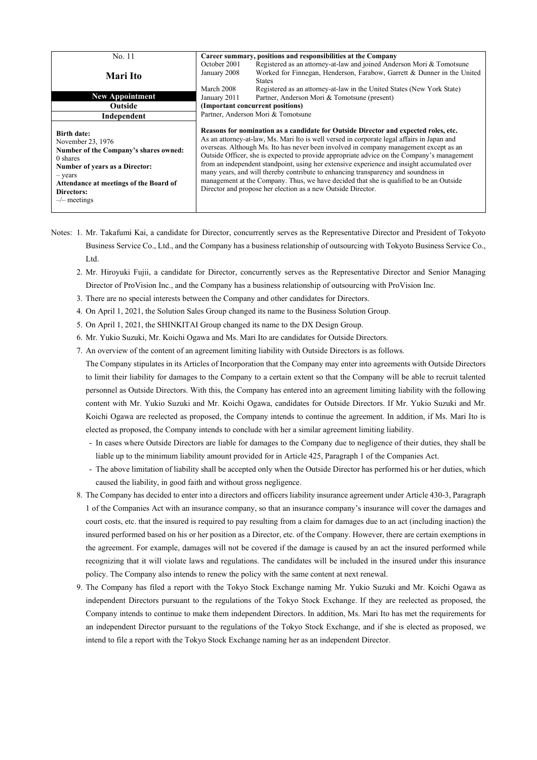| No. 11                                                                                                                                                                                                                         | Career summary, positions and responsibilities at the Company                                                                                                                                                                                                                                                                                                                                                                                                                                                                                                                                                                                                                                                            |  |  |
|--------------------------------------------------------------------------------------------------------------------------------------------------------------------------------------------------------------------------------|--------------------------------------------------------------------------------------------------------------------------------------------------------------------------------------------------------------------------------------------------------------------------------------------------------------------------------------------------------------------------------------------------------------------------------------------------------------------------------------------------------------------------------------------------------------------------------------------------------------------------------------------------------------------------------------------------------------------------|--|--|
| Mari Ito                                                                                                                                                                                                                       | Registered as an attorney-at-law and joined Anderson Mori & Tomotsune<br>October 2001<br>Worked for Finnegan, Henderson, Farabow, Garrett & Dunner in the United<br>January 2008<br><b>States</b>                                                                                                                                                                                                                                                                                                                                                                                                                                                                                                                        |  |  |
|                                                                                                                                                                                                                                | Registered as an attorney-at-law in the United States (New York State)<br>March 2008                                                                                                                                                                                                                                                                                                                                                                                                                                                                                                                                                                                                                                     |  |  |
| <b>New Appointment</b>                                                                                                                                                                                                         | Partner, Anderson Mori & Tomotsune (present)<br>January 2011                                                                                                                                                                                                                                                                                                                                                                                                                                                                                                                                                                                                                                                             |  |  |
| <b>Outside</b>                                                                                                                                                                                                                 | (Important concurrent positions)                                                                                                                                                                                                                                                                                                                                                                                                                                                                                                                                                                                                                                                                                         |  |  |
| Independent                                                                                                                                                                                                                    | Partner, Anderson Mori & Tomotsune                                                                                                                                                                                                                                                                                                                                                                                                                                                                                                                                                                                                                                                                                       |  |  |
| <b>Birth date:</b><br>November 23, 1976<br>Number of the Company's shares owned:<br>0 shares<br><b>Number of years as a Director:</b><br>- years<br>Attendance at meetings of the Board of<br>Directors:<br>$-\prime$ meetings | Reasons for nomination as a candidate for Outside Director and expected roles, etc.<br>As an attorney-at-law, Ms. Mari Ito is well versed in corporate legal affairs in Japan and<br>overseas. Although Ms. Ito has never been involved in company management except as an<br>Outside Officer, she is expected to provide appropriate advice on the Company's management<br>from an independent standpoint, using her extensive experience and insight accumulated over<br>many years, and will thereby contribute to enhancing transparency and soundness in<br>management at the Company. Thus, we have decided that she is qualified to be an Outside<br>Director and propose her election as a new Outside Director. |  |  |

- Notes: 1. Mr. Takafumi Kai, a candidate for Director, concurrently serves as the Representative Director and President of Tokyoto Business Service Co., Ltd., and the Company has a business relationship of outsourcing with Tokyoto Business Service Co., Ltd.
	- 2. Mr. Hiroyuki Fujii, a candidate for Director, concurrently serves as the Representative Director and Senior Managing Director of ProVision Inc., and the Company has a business relationship of outsourcing with ProVision Inc.
	- 3. There are no special interests between the Company and other candidates for Directors.
	- 4. On April 1, 2021, the Solution Sales Group changed its name to the Business Solution Group.
	- 5. On April 1, 2021, the SHINKITAI Group changed its name to the DX Design Group.
	- 6. Mr. Yukio Suzuki, Mr. Koichi Ogawa and Ms. Mari Ito are candidates for Outside Directors.
	- 7. An overview of the content of an agreement limiting liability with Outside Directors is as follows.
		- The Company stipulates in its Articles of Incorporation that the Company may enter into agreements with Outside Directors to limit their liability for damages to the Company to a certain extent so that the Company will be able to recruit talented personnel as Outside Directors. With this, the Company has entered into an agreement limiting liability with the following content with Mr. Yukio Suzuki and Mr. Koichi Ogawa, candidates for Outside Directors. If Mr. Yukio Suzuki and Mr. Koichi Ogawa are reelected as proposed, the Company intends to continue the agreement. In addition, if Ms. Mari Ito is elected as proposed, the Company intends to conclude with her a similar agreement limiting liability.
			- In cases where Outside Directors are liable for damages to the Company due to negligence of their duties, they shall be liable up to the minimum liability amount provided for in Article 425, Paragraph 1 of the Companies Act.
			- The above limitation of liability shall be accepted only when the Outside Director has performed his or her duties, which caused the liability, in good faith and without gross negligence.
	- 8. The Company has decided to enter into a directors and officers liability insurance agreement under Article 430-3, Paragraph 1 of the Companies Act with an insurance company, so that an insurance company's insurance will cover the damages and court costs, etc. that the insured is required to pay resulting from a claim for damages due to an act (including inaction) the insured performed based on his or her position as a Director, etc. of the Company. However, there are certain exemptions in the agreement. For example, damages will not be covered if the damage is caused by an act the insured performed while recognizing that it will violate laws and regulations. The candidates will be included in the insured under this insurance policy. The Company also intends to renew the policy with the same content at next renewal.
	- 9. The Company has filed a report with the Tokyo Stock Exchange naming Mr. Yukio Suzuki and Mr. Koichi Ogawa as independent Directors pursuant to the regulations of the Tokyo Stock Exchange. If they are reelected as proposed, the Company intends to continue to make them independent Directors. In addition, Ms. Mari Ito has met the requirements for an independent Director pursuant to the regulations of the Tokyo Stock Exchange, and if she is elected as proposed, we intend to file a report with the Tokyo Stock Exchange naming her as an independent Director.